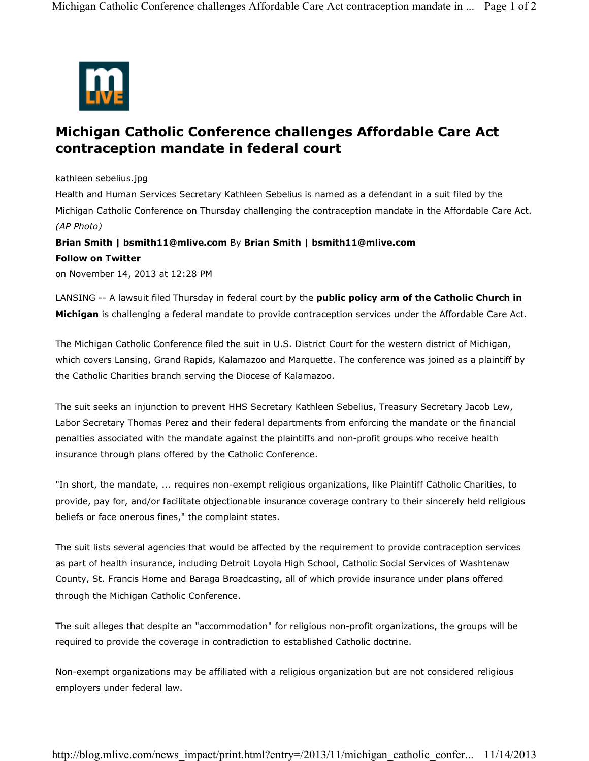

## **Michigan Catholic Conference challenges Affordable Care Act contraception mandate in federal court**

kathleen sebelius.jpg

Health and Human Services Secretary Kathleen Sebelius is named as a defendant in a suit filed by the Michigan Catholic Conference on Thursday challenging the contraception mandate in the Affordable Care Act. *(AP Photo)*

## **Brian Smith | bsmith11@mlive.com** By **Brian Smith | bsmith11@mlive.com**

## **Follow on Twitter**

on November 14, 2013 at 12:28 PM

LANSING -- A lawsuit filed Thursday in federal court by the **public policy arm of the Catholic Church in Michigan** is challenging a federal mandate to provide contraception services under the Affordable Care Act.

The Michigan Catholic Conference filed the suit in U.S. District Court for the western district of Michigan, which covers Lansing, Grand Rapids, Kalamazoo and Marquette. The conference was joined as a plaintiff by the Catholic Charities branch serving the Diocese of Kalamazoo.

The suit seeks an injunction to prevent HHS Secretary Kathleen Sebelius, Treasury Secretary Jacob Lew, Labor Secretary Thomas Perez and their federal departments from enforcing the mandate or the financial penalties associated with the mandate against the plaintiffs and non-profit groups who receive health insurance through plans offered by the Catholic Conference.

"In short, the mandate, ... requires non-exempt religious organizations, like Plaintiff Catholic Charities, to provide, pay for, and/or facilitate objectionable insurance coverage contrary to their sincerely held religious beliefs or face onerous fines," the complaint states.

The suit lists several agencies that would be affected by the requirement to provide contraception services as part of health insurance, including Detroit Loyola High School, Catholic Social Services of Washtenaw County, St. Francis Home and Baraga Broadcasting, all of which provide insurance under plans offered through the Michigan Catholic Conference.

The suit alleges that despite an "accommodation" for religious non-profit organizations, the groups will be required to provide the coverage in contradiction to established Catholic doctrine.

Non-exempt organizations may be affiliated with a religious organization but are not considered religious employers under federal law.